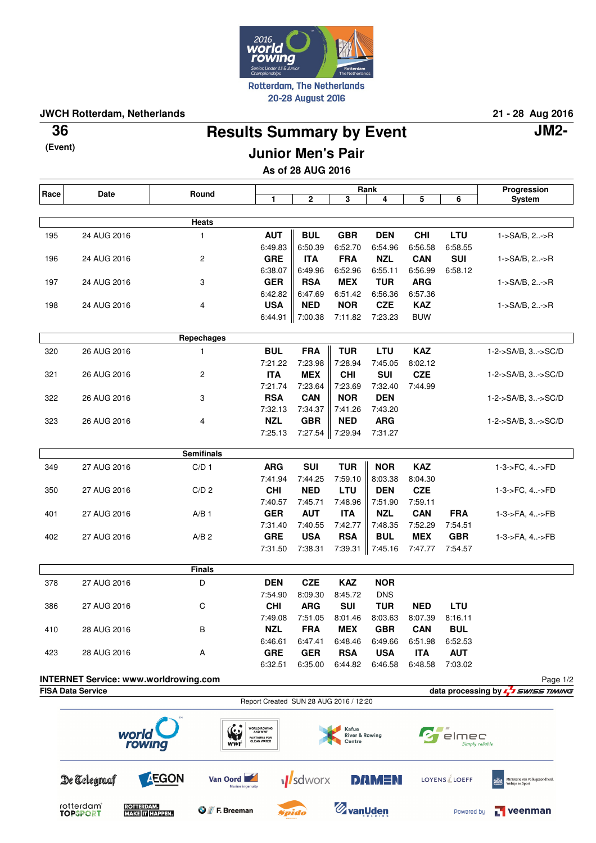

**JWCH Rotterdam, Netherlands 21 - 28 Aug 2016**

**(Event)**

## **Results Summary by Event 36 JM2- Junior Men's Pair**

**As of 28 AUG 2016**

| Race | Date                                                                                     | Round                    |                                           |                       | Rank                                |                       |                       |                     | Progression                                         |
|------|------------------------------------------------------------------------------------------|--------------------------|-------------------------------------------|-----------------------|-------------------------------------|-----------------------|-----------------------|---------------------|-----------------------------------------------------|
|      |                                                                                          |                          | 1                                         | 2                     | 3                                   | 4                     | 5                     | 6                   | System                                              |
|      |                                                                                          | <b>Heats</b>             |                                           |                       |                                     |                       |                       |                     |                                                     |
| 195  | 24 AUG 2016                                                                              | 1                        | <b>AUT</b>                                | <b>BUL</b>            | <b>GBR</b>                          | <b>DEN</b>            | <b>CHI</b>            | LTU                 | 1->SA/B, 2->R                                       |
|      |                                                                                          |                          | 6:49.83                                   | 6:50.39               | 6:52.70                             | 6:54.96               | 6:56.58               | 6:58.55             |                                                     |
| 196  | 24 AUG 2016                                                                              | 2                        | <b>GRE</b>                                | <b>ITA</b>            | <b>FRA</b>                          | <b>NZL</b>            | <b>CAN</b>            | <b>SUI</b>          | 1->SA/B, 2->R                                       |
|      |                                                                                          |                          | 6:38.07                                   | 6:49.96               | 6:52.96                             | 6:55.11               | 6:56.99               | 6:58.12             |                                                     |
| 197  | 24 AUG 2016                                                                              | 3                        | <b>GER</b>                                | <b>RSA</b>            | <b>MEX</b>                          | <b>TUR</b>            | <b>ARG</b>            |                     | 1->SA/B, 2->R                                       |
|      |                                                                                          |                          | 6:42.82                                   | 6:47.69               | 6:51.42                             | 6:56.36               | 6:57.36               |                     |                                                     |
| 198  | 24 AUG 2016                                                                              | 4                        | <b>USA</b>                                | <b>NED</b>            | <b>NOR</b>                          | <b>CZE</b>            | <b>KAZ</b>            |                     | 1->SA/B, 2->R                                       |
|      |                                                                                          |                          | 6:44.91                                   | 7:00.38               | 7:11.82                             | 7:23.23               | <b>BUW</b>            |                     |                                                     |
|      |                                                                                          |                          |                                           |                       |                                     |                       |                       |                     |                                                     |
|      |                                                                                          | Repechages               |                                           |                       |                                     |                       |                       |                     |                                                     |
| 320  | 26 AUG 2016                                                                              | 1                        | <b>BUL</b>                                | <b>FRA</b><br>7:23.98 | <b>TUR</b><br>7:28.94               | <b>LTU</b><br>7:45.05 | <b>KAZ</b><br>8:02.12 |                     | 1-2->SA/B, 3->SC/D                                  |
| 321  | 26 AUG 2016                                                                              | $\overline{c}$           | 7:21.22<br><b>ITA</b>                     | <b>MEX</b>            | <b>CHI</b>                          | <b>SUI</b>            | <b>CZE</b>            |                     | 1-2->SA/B, 3->SC/D                                  |
|      |                                                                                          |                          | 7:21.74                                   | 7:23.64               | 7:23.69                             | 7:32.40               | 7:44.99               |                     |                                                     |
| 322  | 26 AUG 2016                                                                              | 3                        | <b>RSA</b>                                | <b>CAN</b>            | <b>NOR</b>                          | <b>DEN</b>            |                       |                     | 1-2->SA/B, 3->SC/D                                  |
|      |                                                                                          |                          | 7:32.13                                   | 7:34.37               | 7:41.26                             | 7:43.20               |                       |                     |                                                     |
| 323  | 26 AUG 2016                                                                              | 4                        | <b>NZL</b>                                | <b>GBR</b>            | <b>NED</b>                          | <b>ARG</b>            |                       |                     | 1-2->SA/B, 3->SC/D                                  |
|      |                                                                                          |                          | 7:25.13                                   | 7:27.54               | 7:29.94                             | 7:31.27               |                       |                     |                                                     |
|      |                                                                                          |                          |                                           |                       |                                     |                       |                       |                     |                                                     |
|      |                                                                                          | <b>Semifinals</b>        |                                           |                       |                                     |                       |                       |                     |                                                     |
| 349  | 27 AUG 2016                                                                              | C/D <sub>1</sub>         | <b>ARG</b>                                | <b>SUI</b>            | <b>TUR</b>                          | <b>NOR</b>            | <b>KAZ</b>            |                     | 1-3->FC, 4->FD                                      |
| 350  | 27 AUG 2016                                                                              | C/D <sub>2</sub>         | 7:41.94<br><b>CHI</b>                     | 7:44.25<br><b>NED</b> | 7:59.10<br><b>LTU</b>               | 8:03.38<br><b>DEN</b> | 8:04.30<br><b>CZE</b> |                     | 1-3->FC, 4->FD                                      |
|      |                                                                                          |                          | 7:40.57                                   | 7:45.71               | 7:48.96                             | 7:51.90               | 7:59.11               |                     |                                                     |
| 401  | 27 AUG 2016                                                                              | $A/B$ 1                  | <b>GER</b>                                | <b>AUT</b>            | <b>ITA</b>                          | <b>NZL</b>            | <b>CAN</b>            | <b>FRA</b>          | 1-3->FA, 4->FB                                      |
|      |                                                                                          |                          | 7:31.40                                   | 7:40.55               | 7:42.77                             | 7:48.35               | 7:52.29               | 7:54.51             |                                                     |
| 402  | 27 AUG 2016                                                                              | A/B <sub>2</sub>         | <b>GRE</b>                                | <b>USA</b>            | <b>RSA</b>                          | <b>BUL</b>            | <b>MEX</b>            | <b>GBR</b>          | 1-3->FA, 4->FB                                      |
|      |                                                                                          |                          | 7:31.50                                   | 7:38.31               | 7:39.31                             | 7:45.16               | 7:47.77               | 7:54.57             |                                                     |
|      |                                                                                          | <b>Finals</b>            |                                           |                       |                                     |                       |                       |                     |                                                     |
| 378  | 27 AUG 2016                                                                              | D                        | <b>DEN</b>                                | <b>CZE</b>            | <b>KAZ</b>                          | <b>NOR</b>            |                       |                     |                                                     |
|      |                                                                                          |                          | 7:54.90                                   | 8:09.30               | 8:45.72                             | <b>DNS</b>            |                       |                     |                                                     |
| 386  | 27 AUG 2016                                                                              | C                        | <b>CHI</b>                                | <b>ARG</b>            | <b>SUI</b>                          | <b>TUR</b>            | <b>NED</b>            | LTU                 |                                                     |
|      |                                                                                          |                          | 7:49.08                                   | 7:51.05               | 8:01.46                             | 8:03.63               | 8:07.39               | 8:16.11             |                                                     |
| 410  | 28 AUG 2016                                                                              | В                        | <b>NZL</b>                                | <b>FRA</b>            | <b>MEX</b>                          | <b>GBR</b>            | <b>CAN</b>            | <b>BUL</b>          |                                                     |
|      |                                                                                          |                          | 6:46.61                                   | 6:47.41               | 6:48.46                             | 6:49.66               | 6:51.98               | 6:52.53             |                                                     |
| 423  | 28 AUG 2016                                                                              | Α                        | <b>GRE</b>                                | <b>GER</b>            | <b>RSA</b>                          | <b>USA</b>            | <b>ITA</b>            | <b>AUT</b>          |                                                     |
|      |                                                                                          |                          | 6:32.51                                   | 6:35.00               | 6:44.82                             | 6:46.58               | 6:48.58               | 7:03.02             |                                                     |
|      | <b>INTERNET Service: www.worldrowing.com</b>                                             |                          |                                           |                       |                                     |                       |                       |                     | Page 1/2                                            |
|      | <b>FISA Data Service</b>                                                                 |                          | Report Created SUN 28 AUG 2016 / 12:20    |                       |                                     |                       |                       |                     | data processing by L 5WISS TIMING                   |
|      |                                                                                          |                          |                                           |                       |                                     |                       |                       |                     |                                                     |
|      | world                                                                                    | (                        | WORLD ROWING<br>AND WWF                   |                       | Kafue                               |                       |                       |                     |                                                     |
|      | rowing                                                                                   | WWF                      | <b>PARTNERS FOR</b><br><b>CLEAN WATER</b> |                       | <b>River &amp; Rowing</b><br>Centre |                       |                       | elmec               | Simply reliable                                     |
|      |                                                                                          |                          |                                           |                       |                                     |                       |                       |                     |                                                     |
|      | De Telegraaf                                                                             | <b>AEGON</b><br>Van Oord |                                           | <b>M</b> sdworx       |                                     | <b>DAMEN</b>          |                       | <b>LOYENS</b> LOEFF | Ministerie van Volksgezondheid,<br>Welzijn en Sport |
|      |                                                                                          |                          | Marine ingenuity                          |                       |                                     |                       |                       |                     |                                                     |
|      | rotterdam <sup>®</sup><br><b>ROTTERDAM.</b><br><b>MAKE IT HAPPEN.</b><br><b>TOPSPORT</b> | <b>O</b> F. Breeman      |                                           | Spida                 | <b>Z</b> vanUden                    |                       |                       | Powered by          | <b>T</b> veenman                                    |